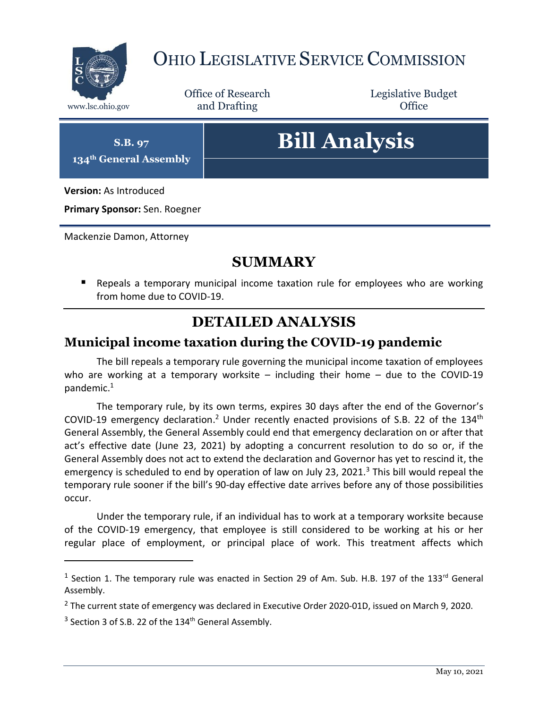

## OHIO LEGISLATIVE SERVICE COMMISSION

Office of Research www.lsc.ohio.gov **and Drafting Office** 

Legislative Budget

**S.B. 97 134th General Assembly**

# **Bill Analysis**

**Version:** As Introduced

**Primary Sponsor:** Sen. Roegner

Mackenzie Damon, Attorney

#### **SUMMARY**

 Repeals a temporary municipal income taxation rule for employees who are working from home due to COVID-19.

#### **DETAILED ANALYSIS**

#### **Municipal income taxation during the COVID-19 pandemic**

The bill repeals a temporary rule governing the municipal income taxation of employees who are working at a temporary worksite – including their home – due to the COVID-19 pandemic.<sup>1</sup>

The temporary rule, by its own terms, expires 30 days after the end of the Governor's COVID-19 emergency declaration.<sup>2</sup> Under recently enacted provisions of S.B. 22 of the 134<sup>th</sup> General Assembly, the General Assembly could end that emergency declaration on or after that act's effective date (June 23, 2021) by adopting a concurrent resolution to do so or, if the General Assembly does not act to extend the declaration and Governor has yet to rescind it, the emergency is scheduled to end by operation of law on July 23, 2021. $3$  This bill would repeal the temporary rule sooner if the bill's 90-day effective date arrives before any of those possibilities occur.

Under the temporary rule, if an individual has to work at a temporary worksite because of the COVID-19 emergency, that employee is still considered to be working at his or her regular place of employment, or principal place of work. This treatment affects which

 $\overline{a}$ 

<sup>&</sup>lt;sup>1</sup> Section 1. The temporary rule was enacted in Section 29 of Am. Sub. H.B. 197 of the 133<sup>rd</sup> General Assembly.

<sup>&</sup>lt;sup>2</sup> The current state of emergency was declared in Executive Order 2020-01D, issued on March 9, 2020.

 $3$  Section 3 of S.B. 22 of the 134<sup>th</sup> General Assembly.